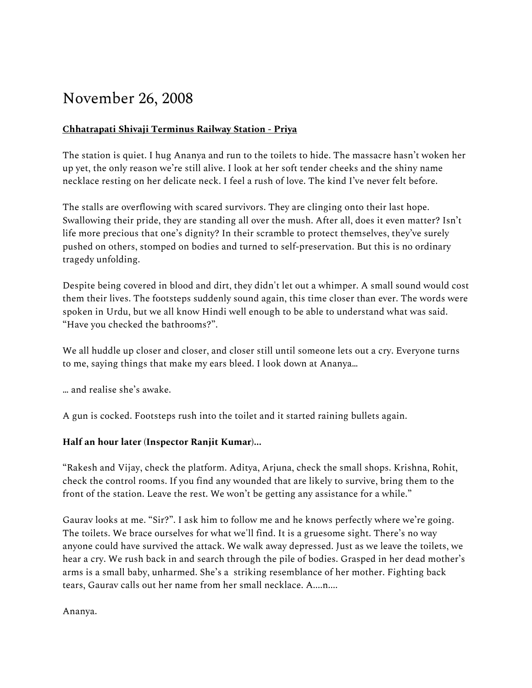# November 26, 2008

# **Chhatrapati Shivaji Terminus Railway Station - Priya**

The station is quiet. I hug Ananya and run to the toilets to hide. The massacre hasn't woken her up yet, the only reason we're still alive. I look at her soft tender cheeks and the shiny name necklace resting on her delicate neck. I feel a rush of love. The kind I've never felt before.

The stalls are overflowing with scared survivors. They are clinging onto their last hope. Swallowing their pride, they are standing all over the mush. After all, does it even matter? Isn't life more precious that one's dignity? In their scramble to protect themselves, they've surely pushed on others, stomped on bodies and turned to self-preservation. But this is no ordinary tragedy unfolding.

Despite being covered in blood and dirt, they didn't let out a whimper. A small sound would cost them their lives. The footsteps suddenly sound again, this time closer than ever. The words were spoken in Urdu, but we all know Hindi well enough to be able to understand what was said. "Have you checked the bathrooms?".

We all huddle up closer and closer, and closer still until someone lets out a cry. Everyone turns to me, saying things that make my ears bleed. I look down at Ananya…

… and realise she's awake.

A gun is cocked. Footsteps rush into the toilet and it started raining bullets again.

## **Half an hour later (Inspector Ranjit Kumar)...**

"Rakesh and Vijay, check the platform. Aditya, Arjuna, check the small shops. Krishna, Rohit, check the control rooms. If you find any wounded that are likely to survive, bring them to the front of the station. Leave the rest. We won't be getting any assistance for a while."

Gaurav looks at me. "Sir?". I ask him to follow me and he knows perfectly where we're going. The toilets. We brace ourselves for what we'll find. It is a gruesome sight. There's no way anyone could have survived the attack. We walk away depressed. Just as we leave the toilets, we hear a cry. We rush back in and search through the pile of bodies. Grasped in her dead mother's arms is a small baby, unharmed. She's a striking resemblance of her mother. Fighting back tears, Gaurav calls out her name from her small necklace. A....n....

Ananya.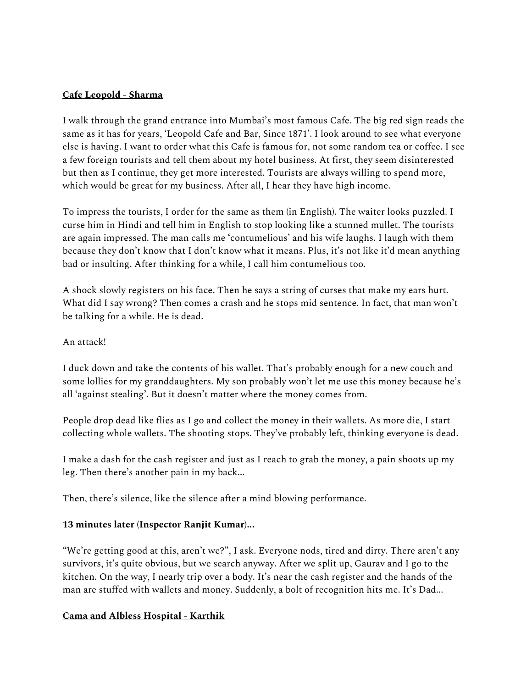#### **Cafe Leopold - Sharma**

I walk through the grand entrance into Mumbai's most famous Cafe. The big red sign reads the same as it has for years, 'Leopold Cafe and Bar, Since 1871'. I look around to see what everyone else is having. I want to order what this Cafe is famous for, not some random tea or coffee. I see a few foreign tourists and tell them about my hotel business. At first, they seem disinterested but then as I continue, they get more interested. Tourists are always willing to spend more, which would be great for my business. After all, I hear they have high income.

To impress the tourists, I order for the same as them (in English). The waiter looks puzzled. I curse him in Hindi and tell him in English to stop looking like a stunned mullet. The tourists are again impressed. The man calls me 'contumelious' and his wife laughs. I laugh with them because they don't know that I don't know what it means. Plus, it's not like it'd mean anything bad or insulting. After thinking for a while, I call him contumelious too.

A shock slowly registers on his face. Then he says a string of curses that make my ears hurt. What did I say wrong? Then comes a crash and he stops mid sentence. In fact, that man won't be talking for a while. He is dead.

## An attack!

I duck down and take the contents of his wallet. That's probably enough for a new couch and some lollies for my granddaughters. My son probably won't let me use this money because he's all 'against stealing'. But it doesn't matter where the money comes from.

People drop dead like flies as I go and collect the money in their wallets. As more die, I start collecting whole wallets. The shooting stops. They've probably left, thinking everyone is dead.

I make a dash for the cash register and just as I reach to grab the money, a pain shoots up my leg. Then there's another pain in my back...

Then, there's silence, like the silence after a mind blowing performance.

## **13 minutes later (Inspector Ranjit Kumar)...**

"We're getting good at this, aren't we?", I ask. Everyone nods, tired and dirty. There aren't any survivors, it's quite obvious, but we search anyway. After we split up, Gaurav and I go to the kitchen. On the way, I nearly trip over a body. It's near the cash register and the hands of the man are stuffed with wallets and money. Suddenly, a bolt of recognition hits me. It's Dad...

### **Cama and Albless Hospital - Karthik**